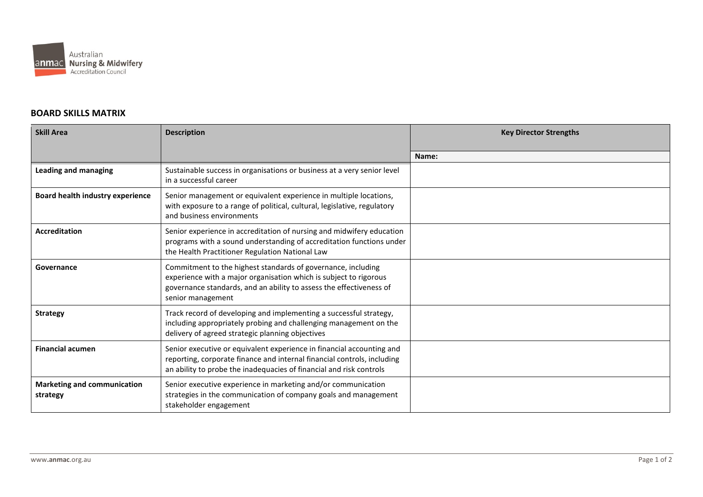

## **BOARD SKILLS MATRIX**

| <b>Skill Area</b>                              | <b>Description</b>                                                                                                                                                                                                            | <b>Key Director Strengths</b> |
|------------------------------------------------|-------------------------------------------------------------------------------------------------------------------------------------------------------------------------------------------------------------------------------|-------------------------------|
|                                                |                                                                                                                                                                                                                               |                               |
|                                                |                                                                                                                                                                                                                               | Name:                         |
| <b>Leading and managing</b>                    | Sustainable success in organisations or business at a very senior level<br>in a successful career                                                                                                                             |                               |
| Board health industry experience               | Senior management or equivalent experience in multiple locations,<br>with exposure to a range of political, cultural, legislative, regulatory<br>and business environments                                                    |                               |
| Accreditation                                  | Senior experience in accreditation of nursing and midwifery education<br>programs with a sound understanding of accreditation functions under<br>the Health Practitioner Regulation National Law                              |                               |
| Governance                                     | Commitment to the highest standards of governance, including<br>experience with a major organisation which is subject to rigorous<br>governance standards, and an ability to assess the effectiveness of<br>senior management |                               |
| <b>Strategy</b>                                | Track record of developing and implementing a successful strategy,<br>including appropriately probing and challenging management on the<br>delivery of agreed strategic planning objectives                                   |                               |
| <b>Financial acumen</b>                        | Senior executive or equivalent experience in financial accounting and<br>reporting, corporate finance and internal financial controls, including<br>an ability to probe the inadequacies of financial and risk controls       |                               |
| <b>Marketing and communication</b><br>strategy | Senior executive experience in marketing and/or communication<br>strategies in the communication of company goals and management<br>stakeholder engagement                                                                    |                               |